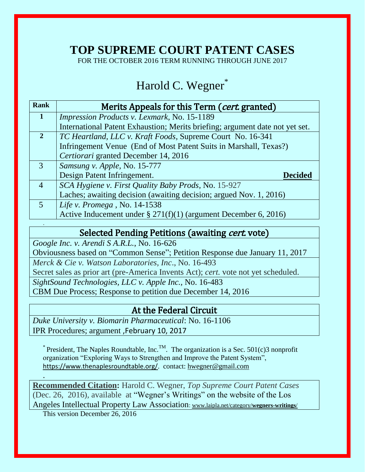# **TOP SUPREME COURT PATENT CASES**

FOR THE OCTOBER 2016 TERM RUNNING THROUGH JUNE 2017

# Harold C. Wegner\*

| <b>Rank</b>    | Merits Appeals for this Term (cert. granted)                                 |
|----------------|------------------------------------------------------------------------------|
| $\mathbf{1}$   | Impression Products v. Lexmark, No. 15-1189                                  |
|                | International Patent Exhaustion; Merits briefing; argument date not yet set. |
| $\overline{2}$ | TC Heartland, LLC v. Kraft Foods, Supreme Court No. 16-341                   |
|                | Infringement Venue (End of Most Patent Suits in Marshall, Texas?)            |
|                | Certiorari granted December 14, 2016                                         |
| 3              | Samsung v. Apple, No. 15-777                                                 |
|                | Design Patent Infringement.<br><b>Decided</b>                                |
| $\overline{4}$ | SCA Hygiene v. First Quality Baby Prods, No. 15-927                          |
|                | Laches; awaiting decision (awaiting decision; argued Nov. 1, 2016)           |
| $\overline{5}$ | Life v. Promega, No. 14-1538                                                 |
|                | Active Inducement under $\S 271(f)(1)$ (argument December 6, 2016)           |
|                |                                                                              |

## Selected Pending Petitions (awaiting *cert.* vote)

*Google Inc. v. Arendi S A.R.L.*, No. 16-626 Obviousness based on "Common Sense"; Petition Response due January 11, 2017 *Merck & Cie v. Watson Laboratories, Inc*., No. 16-493 Secret sales as prior art (pre-America Invents Act); *cert.* vote not yet scheduled. *[SightSound Technologies, LLC v. Apple Inc.,](https://1.next.westlaw.com/Document/Ia2a2b5c1a3ad11e5a807ad48145ed9f1/View/FullText.html?listSource=Search&navigationPath=Search%2fv3%2fsearch%2fresults%2fnavigation%2fi0ad62aef00000158e9fa89e30a4d0617%3fNav%3dCASE%26fragmentIdentifier%3dIa2a2b5c1a3ad11e5a807ad48145ed9f1%26startIndex%3d1%26contextData%3d%2528sc.Search%2529%26transitionType%3dSearchItem&list=ALL&rank=1&listPageSource=33c74380bf41fc260ace13cccee4be4f&originationContext=docHeader&contextData=(sc.Search)&transitionType=Document&needToInjectTerms=False&enableBestPortion=True&docSource=06147756e7424505bb66eb784cc5691a)* No. 16-483 CBM Due Process; Response to petition due December 14, 2016

# At the Federal Circuit

*Duke University v. Biomarin Pharmaceutical*: No. 16-1106 IPR Procedures; argument ,February 10, 2017

\* President, The Naples Roundtable, Inc.<sup>TM</sup>. The organization is a Sec. 501(c)3 nonprofit organization "Exploring Ways to Strengthen and Improve the Patent System", <https://www.thenaplesroundtable.org/>. contact: [hwegner@gmail.com](mailto:hwegner@gmail.com)

**Recommended Citation:** Harold C. Wegner, *Top Supreme Court Patent Cases*  (Dec. 26, 2016)*,* available at "Wegner's Writings" on the website of the Los Angeles Intellectual Property Law Association: [www.laipla.net/category/](http://www.laipla.net/category/wegners-writings/)**wegners-writings**/

This version December 26, 2016

.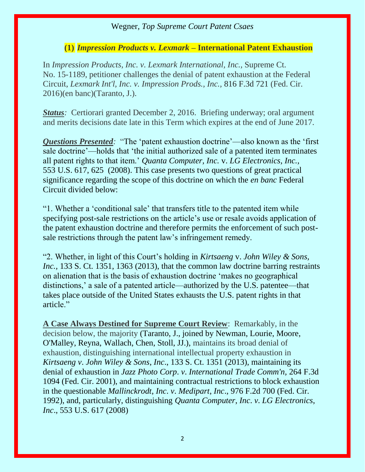#### **(1)** *Impression Products v. Lexmark –* **International Patent Exhaustion**

In *Impression Products, Inc. v. Lexmark International, Inc.,* Supreme Ct. No. 15-1189, petitioner challenges the denial of patent exhaustion at the Federal Circuit, *Lexmark Int'l, Inc. v. Impression Prods., Inc.,* 816 F.3d 721 (Fed. Cir. 2016)(en banc)(Taranto, J.).

*Status*: Certiorari granted December 2, 2016. Briefing underway; oral argument and merits decisions date late in this Term which expires at the end of June 2017.

*Questions Presented:* "The 'patent exhaustion doctrine'—also known as the 'first sale doctrine'—holds that 'the initial authorized sale of a patented item terminates all patent rights to that item.' *Quanta Computer, Inc.* v. *LG Electronics, Inc.,*  553 U.S. 617, 625 (2008). This case presents two questions of great practical significance regarding the scope of this doctrine on which the *en banc* Federal Circuit divided below:

"1. Whether a 'conditional sale' that transfers title to the patented item while specifying post-sale restrictions on the article's use or resale avoids application of the patent exhaustion doctrine and therefore permits the enforcement of such postsale restrictions through the patent law's infringement remedy.

"2. Whether, in light of this Court's holding in *Kirtsaeng* v. *John Wiley & Sons, Inc.*, 133 S. Ct. 1351, 1363 (2013), that the common law doctrine barring restraints on alienation that is the basis of exhaustion doctrine 'makes no geographical distinctions,' a sale of a patented article—authorized by the U.S. patentee—that takes place outside of the United States exhausts the U.S. patent rights in that article."

**A Case Always Destined for Supreme Court Review**: Remarkably, in the decision below, the majority (Taranto, J., joined by Newman, Lourie, Moore, O'Malley, Reyna, Wallach, Chen, Stoll, JJ.), maintains its broad denial of exhaustion, distinguishing international intellectual property exhaustion in *Kirtsaeng v*. *John Wiley & Sons*, *Inc*., 133 S. Ct. 1351 (2013), maintaining its denial of exhaustion in *Jazz Photo Corp*. *v*. *International Trade Comm'n,* 264 F.3d 1094 (Fed. Cir. 2001), and maintaining contractual restrictions to block exhaustion in the questionable *Mallinckrodt*, *Inc*. *v*. *Medipart*, *Inc*., 976 F.2d 700 (Fed. Cir. 1992), and, particularly, distinguishing *Quanta Computer*, *Inc*. *v*. *LG Electronics*, *Inc*., 553 U.S. 617 (2008)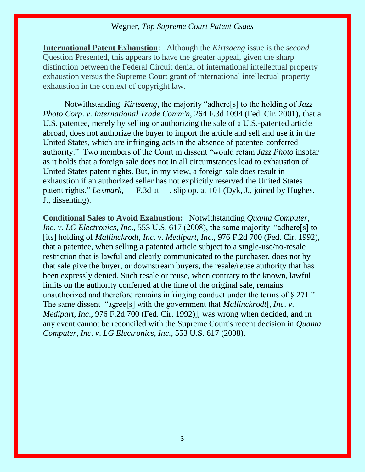**International Patent Exhaustion**: Although the *Kirtsaeng* issue is the *second*  Question Presented, this appears to have the greater appeal, given the sharp distinction between the Federal Circuit denial of international intellectual property exhaustion versus the Supreme Court grant of international intellectual property exhaustion in the context of copyright law.

Notwithstanding *Kirtsaeng*, the majority "adhere[s] to the holding of *Jazz Photo Corp*. *v*. *International Trade Comm'n,* 264 F.3d 1094 (Fed. Cir. 2001), that a U.S. patentee, merely by selling or authorizing the sale of a U.S.-patented article abroad, does not authorize the buyer to import the article and sell and use it in the United States, which are infringing acts in the absence of patentee-conferred authority." Two members of the Court in dissent "would retain *Jazz Photo* insofar as it holds that a foreign sale does not in all circumstances lead to exhaustion of United States patent rights. But, in my view, a foreign sale does result in exhaustion if an authorized seller has not explicitly reserved the United States patent rights." *Lexmark*, <u>F.3d at , slip op. at 101 (Dyk, J.</u>, joined by Hughes, J., dissenting).

**Conditional Sales to Avoid Exahustion:** Notwithstanding *Quanta Computer*, *Inc*. *v*. *LG Electronics*, *Inc*., 553 U.S. 617 (2008), the same majority "adhere[s] to [its] holding of *Mallinckrodt*, *Inc*. *v*. *Medipart*, *Inc*., 976 F.2d 700 (Fed. Cir. 1992), that a patentee, when selling a patented article subject to a single-use/no-resale restriction that is lawful and clearly communicated to the purchaser, does not by that sale give the buyer, or downstream buyers, the resale/reuse authority that has been expressly denied. Such resale or reuse, when contrary to the known, lawful limits on the authority conferred at the time of the original sale, remains unauthorized and therefore remains infringing conduct under the terms of § 271." The same dissent "agree[s] with the government that *Mallinckrodt*[, *Inc*. *v*. *Medipart*, *Inc*., 976 F.2d 700 (Fed. Cir. 1992)], was wrong when decided, and in any event cannot be reconciled with the Supreme Court's recent decision in *Quanta Computer*, *Inc*. *v*. *LG Electronics*, *Inc*., [553 U.S. 617 \(2008\).](https://apps.fastcase.com/CaseLawPortal/Pages/Secure/Document.aspx?LTID=6Xz9mv8jjMfNCjECqc2%2frnwttHs8K%2f1%2fykEllXImRO4WUkZRSDN4A%2fcjzSQVAVe2YRmgdgkUoRcnb4Wfio7zKSpjbVvf5oR8uE%2badss9R1UF1bCGSsibYhE8ooPoikm67%2fipWhHG%2bKcrQDk%2fa6z8pMnY3zgOrhm6Yh8Y5uebQ9A%3d&ECF=553+U.S.+617+(2008))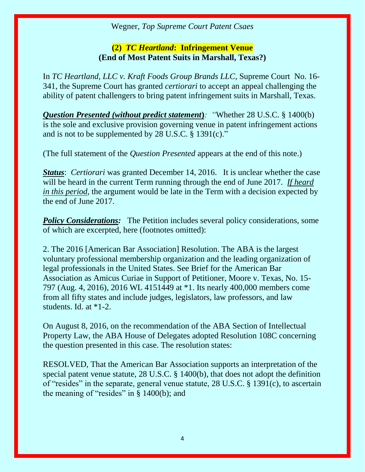# **(2)** *TC Heartland***: Infringement Venue (End of Most Patent Suits in Marshall, Texas?)**

In *TC Heartland, LLC v. Kraft Foods Group Brands LLC*, Supreme Court No. 16- 341, the Supreme Court has granted *certiorari* to accept an appeal challenging the ability of patent challengers to bring patent infringement suits in Marshall, Texas.

*Question Presented (without predict statement***)***: "*Whether [28 U.S.C. § 1400\(b\)](https://1.next.westlaw.com/Link/Document/FullText?findType=L&pubNum=1000546&cite=28USCAS1400&originatingDoc=Iac5ad91c7ed411e6b4bafa136b480ad2&refType=RB&originationContext=document&transitionType=DocumentItem&contextData=(sc.Search)#co_pp_a83b000018c76) is the sole and exclusive provision governing venue in patent infringement actions and is not to be supplemented by [28 U.S.C. § 1391\(c\)](https://1.next.westlaw.com/Link/Document/FullText?findType=L&pubNum=1000546&cite=28USCAS1391&originatingDoc=Iac5ad91c7ed411e6b4bafa136b480ad2&refType=RB&originationContext=document&transitionType=DocumentItem&contextData=(sc.Search)#co_pp_4b24000003ba5)."

(The full statement of the *Question Presented* appears at the end of this note.)

*Status*: *Certiorari* was granted December 14, 2016. It is unclear whether the case will be heard in the current Term running through the end of June 2017. *If heard in this period*, the argument would be late in the Term with a decision expected by the end of June 2017.

*Policy Considerations:* The Petition includes several policy considerations, some of which are excerpted, here (footnotes omitted):

2. The 2016 [American Bar Association] Resolution. The ABA is the largest voluntary professional membership organization and the leading organization of legal professionals in the United States. See Brief for the American Bar Association as Amicus Curiae in Support of Petitioner, [Moore v. Texas, No. 15-](https://1.next.westlaw.com/Link/Document/FullText?findType=Y&serNum=2037850651&pubNum=0004031&originatingDoc=Iac5ad91c7ed411e6b4bafa136b480ad2&refType=RP&originationContext=document&transitionType=DocumentItem&contextData=(sc.Search)) [797 \(Aug. 4, 2016\),](https://1.next.westlaw.com/Link/Document/FullText?findType=Y&serNum=2037850651&pubNum=0004031&originatingDoc=Iac5ad91c7ed411e6b4bafa136b480ad2&refType=RP&originationContext=document&transitionType=DocumentItem&contextData=(sc.Search)) [2016 WL 4151449 at \\*1.](https://1.next.westlaw.com/Link/Document/FullText?findType=Y&serNum=2039509005&pubNum=0000999&originatingDoc=Iac5ad91c7ed411e6b4bafa136b480ad2&refType=RP&originationContext=document&transitionType=DocumentItem&contextData=(sc.Search)) Its nearly 400,000 members come from all fifty states and include judges, legislators, law professors, and law students. Id. at \*1-2.

On August 8, 2016, on the recommendation of the ABA Section of Intellectual Property Law, the ABA House of Delegates adopted Resolution 108C concerning the question presented in this case. The resolution states:

RESOLVED, That the American Bar Association supports an interpretation of the special patent venue statute, [28 U.S.C. § 1400\(b\),](https://1.next.westlaw.com/Link/Document/FullText?findType=L&pubNum=1000546&cite=28USCAS1400&originatingDoc=Iac5ad91c7ed411e6b4bafa136b480ad2&refType=RB&originationContext=document&transitionType=DocumentItem&contextData=(sc.Search)#co_pp_a83b000018c76) that does not adopt the definition of "resides" in the separate, general venue statute, [28 U.S.C. § 1391\(c\),](https://1.next.westlaw.com/Link/Document/FullText?findType=L&pubNum=1000546&cite=28USCAS1391&originatingDoc=Iac5ad91c7ed411e6b4bafa136b480ad2&refType=RB&originationContext=document&transitionType=DocumentItem&contextData=(sc.Search)#co_pp_4b24000003ba5) to ascertain the meaning of "resides" in [§ 1400\(b\);](https://1.next.westlaw.com/Link/Document/FullText?findType=L&pubNum=1000546&cite=28USCAS1400&originatingDoc=Iac5ad91c7ed411e6b4bafa136b480ad2&refType=RB&originationContext=document&transitionType=DocumentItem&contextData=(sc.Search)#co_pp_a83b000018c76) and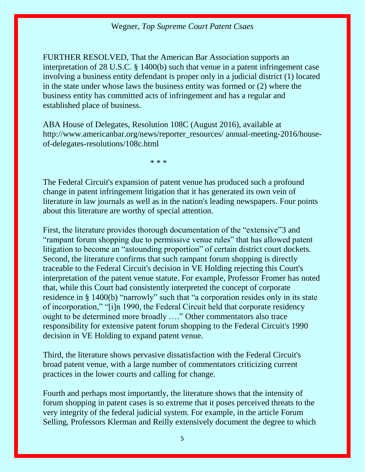FURTHER RESOLVED, That the American Bar Association supports an interpretation of [28 U.S.C. § 1400\(b\)](https://1.next.westlaw.com/Link/Document/FullText?findType=L&pubNum=1000546&cite=28USCAS1400&originatingDoc=Iac5ad91c7ed411e6b4bafa136b480ad2&refType=RB&originationContext=document&transitionType=DocumentItem&contextData=(sc.Search)#co_pp_a83b000018c76) such that venue in a patent infringement case involving a business entity defendant is proper only in a judicial district (1) located in the state under whose laws the business entity was formed or (2) where the business entity has committed acts of infringement and has a regular and established place of business.

ABA House of Delegates, Resolution 108C (August 2016), available at http://www.americanbar.org/news/reporter\_resources/ annual-meeting-2016/houseof-delegates-resolutions/108c.html

\* \* \*

The Federal Circuit's expansion of patent venue has produced such a profound change in patent infringement litigation that it has generated its own vein of literature in law journals as well as in the nation's leading newspapers. Four points about this literature are worthy of special attention.

First, the literature provides thorough documentation of the "extensive"[3](https://1.next.westlaw.com/Document/Iac5ad91c7ed411e6b4bafa136b480ad2/View/FullText.html?navigationPath=Search%2Fv3%2Fsearch%2Fresults%2Fnavigation%2Fi0ad740350000015905d1c85b08a53956%3FNav%3DBRIEF%26fragmentIdentifier%3DIac5ad91c7ed411e6b4bafa136b480ad2%26startIndex%3D1%26contextData%3D%2528sc.Search%2529%26transitionType%3DSearchItem&listSource=Search&listPageSource=4619c89c41338c8e6c4dd089fd6f5cdf&list=BRIEF&rank=2&sessionScopeId=73a81a0b111a46a3f244e166e57b06e8aca4ad094fcaa9618af65c26093d9a81&originationContext=Search%20Result&transitionType=SearchItem&contextData=%28sc.Search%29#co_tablefootnoteblock_3) and "rampant forum shopping due to permissive venue rules" that has allowed patent litigation to become an "astounding proportion" of certain district court dockets. Second, the literature confirms that such rampant forum shopping is directly traceable to the Federal Circuit's decision in VE Holding rejecting this Court's interpretation of the patent venue statute. For example, Professor Fromer has noted that, while this Court had consistently interpreted the concept of corporate residence in [§ 1400\(b\)](https://1.next.westlaw.com/Link/Document/FullText?findType=L&pubNum=1000546&cite=28USCAS1400&originatingDoc=Iac5ad91c7ed411e6b4bafa136b480ad2&refType=RB&originationContext=document&transitionType=DocumentItem&contextData=(sc.Search)#co_pp_a83b000018c76) "narrowly" such that "a corporation resides only in its state of incorporation," "[i]n 1990, the Federal Circuit held that corporate residency ought to be determined more broadly …." Other commentators also trace responsibility for extensive patent forum shopping to the Federal Circuit's 1990 decision in VE Holding to expand patent venue.

Third, the literature shows pervasive dissatisfaction with the Federal Circuit's broad patent venue, with a large number of commentators criticizing current practices in the lower courts and calling for change.

Fourth and perhaps most importantly, the literature shows that the intensity of forum shopping in patent cases is so extreme that it poses perceived threats to the very integrity of the federal judicial system. For example, in the article Forum Selling, Professors Klerman and Reilly extensively document the degree to which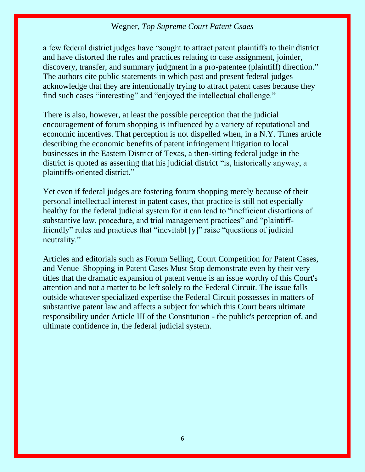a few federal district judges have "sought to attract patent plaintiffs to their district and have distorted the rules and practices relating to case assignment, joinder, discovery, transfer, and summary judgment in a pro-patentee (plaintiff) direction.["](https://1.next.westlaw.com/Document/Iac5ad91c7ed411e6b4bafa136b480ad2/View/FullText.html?navigationPath=Search%2Fv3%2Fsearch%2Fresults%2Fnavigation%2Fi0ad740350000015905d1c85b08a53956%3FNav%3DBRIEF%26fragmentIdentifier%3DIac5ad91c7ed411e6b4bafa136b480ad2%26startIndex%3D1%26contextData%3D%2528sc.Search%2529%26transitionType%3DSearchItem&listSource=Search&listPageSource=4619c89c41338c8e6c4dd089fd6f5cdf&list=BRIEF&rank=2&sessionScopeId=73a81a0b111a46a3f244e166e57b06e8aca4ad094fcaa9618af65c26093d9a81&originationContext=Search%20Result&transitionType=SearchItem&contextData=%28sc.Search%29#co_tablefootnoteblock_9) The authors cite public statements in which past and present federal judges acknowledge that they are intentionally trying to attract patent cases because they find such cases "interesting" and "enjoyed the intellectual challenge."

There is also, however, at least the possible perception that the judicial encouragement of forum shopping is influenced by a variety of reputational and economic incentives. That perception is not dispelled when, in a N.Y. Times article describing the economic benefits of patent infringement litigation to local businesses in the Eastern District of Texas, a then-sitting federal judge in the district is quoted as asserting that his judicial district "is, historically anyway, a plaintiffs-oriented district."

Yet even if federal judges are fostering forum shopping merely because of their personal intellectual interest in patent cases, that practice is still not especially healthy for the federal judicial system for it can lead to "inefficient distortions of substantive law, procedure, and trial management practices" and "plaintifffriendly" rules and practices that "inevitabl [y]" raise "questions of judicial neutrality."

Articles and editorials such as Forum Selling, Court Competition for Patent Cases, and Venue Shopping in Patent Cases Must Stop demonstrate even by their very titles that the dramatic expansion of patent venue is an issue worthy of this Court's attention and not a matter to be left solely to the Federal Circuit. The issue falls outside whatever specialized expertise the Federal Circuit possesses in matters of substantive patent law and affects a subject for which this Court bears ultimate responsibility under Article III of the Constitution - the public's perception of, and ultimate confidence in, the federal judicial system.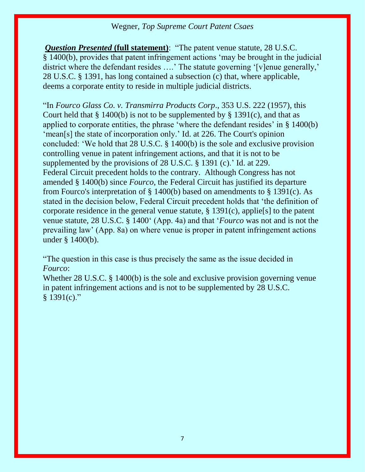*Question Presented* **(full statement)**: "The patent venue statute, [28 U.S.C.](https://1.next.westlaw.com/Link/Document/FullText?findType=L&pubNum=1000546&cite=28USCAS1400&originatingDoc=Iac5ad91c7ed411e6b4bafa136b480ad2&refType=RB&originationContext=document&transitionType=DocumentItem&contextData=(sc.Search)#co_pp_a83b000018c76)  § [1400\(b\)](https://1.next.westlaw.com/Link/Document/FullText?findType=L&pubNum=1000546&cite=28USCAS1400&originatingDoc=Iac5ad91c7ed411e6b4bafa136b480ad2&refType=RB&originationContext=document&transitionType=DocumentItem&contextData=(sc.Search)#co_pp_a83b000018c76), provides that patent infringement actions 'may be brought in the judicial district where the defendant resides ....' The statute governing '[v]enue generally,' [28 U.S.C. §](https://1.next.westlaw.com/Link/Document/FullText?findType=L&pubNum=1000546&cite=28USCAS1391&originatingDoc=Iac5ad91c7ed411e6b4bafa136b480ad2&refType=LQ&originationContext=document&transitionType=DocumentItem&contextData=(sc.Search)) 1391, has long contained a subsection (c) that, where applicable, deems a corporate entity to reside in multiple judicial districts.

"In *[Fourco Glass Co. v. Transmirra Products Corp](https://1.next.westlaw.com/Link/Document/FullText?findType=Y&serNum=1957101451&pubNum=0000780&originatingDoc=Iac5ad91c7ed411e6b4bafa136b480ad2&refType=RP&originationContext=document&transitionType=DocumentItem&contextData=(sc.Search))*., 353 U.S. 222 (1957), this Court held that  $\S 1400(b)$  is not to be supplemented by  $\S 1391(c)$ , and that as applied to corporate entities, the phrase 'where the defendant resides' in [§ 1400\(b\)](https://1.next.westlaw.com/Link/Document/FullText?findType=L&pubNum=1000546&cite=28USCAS1400&originatingDoc=Iac5ad91c7ed411e6b4bafa136b480ad2&refType=RB&originationContext=document&transitionType=DocumentItem&contextData=(sc.Search)#co_pp_a83b000018c76) 'mean[s] the state of incorporation only.' [Id. at 226.](https://1.next.westlaw.com/Link/Document/FullText?findType=Y&serNum=1957101451&pubNum=0000780&originatingDoc=Iac5ad91c7ed411e6b4bafa136b480ad2&refType=RP&fi=co_pp_sp_780_226&originationContext=document&transitionType=DocumentItem&contextData=(sc.Search)#co_pp_sp_780_226) The Court's opinion concluded: 'We hold that [28 U.S.C. § 1400\(b\)](https://1.next.westlaw.com/Link/Document/FullText?findType=L&pubNum=1000546&cite=28USCAS1400&originatingDoc=Iac5ad91c7ed411e6b4bafa136b480ad2&refType=RB&originationContext=document&transitionType=DocumentItem&contextData=(sc.Search)#co_pp_a83b000018c76) is the sole and exclusive provision controlling venue in patent infringement actions, and that it is not to be supplemented by the provisions of [28 U.S.C. § 1391 \(c\)](https://1.next.westlaw.com/Link/Document/FullText?findType=L&pubNum=1000546&cite=28USCAS1391&originatingDoc=Iac5ad91c7ed411e6b4bafa136b480ad2&refType=RB&originationContext=document&transitionType=DocumentItem&contextData=(sc.Search)#co_pp_4b24000003ba5).' [Id. at 229.](https://1.next.westlaw.com/Link/Document/FullText?findType=Y&serNum=1957101451&pubNum=0000780&originatingDoc=Iac5ad91c7ed411e6b4bafa136b480ad2&refType=RP&fi=co_pp_sp_780_229&originationContext=document&transitionType=DocumentItem&contextData=(sc.Search)#co_pp_sp_780_229) Federal Circuit precedent holds to the contrary. Although Congress has not amended [§ 1400\(b\)](https://1.next.westlaw.com/Link/Document/FullText?findType=L&pubNum=1000546&cite=28USCAS1400&originatingDoc=Iac5ad91c7ed411e6b4bafa136b480ad2&refType=RB&originationContext=document&transitionType=DocumentItem&contextData=(sc.Search)#co_pp_a83b000018c76) since *Fourco*, the Federal Circuit has justified its departure from Fourco's interpretation of [§ 1400\(b\)](https://1.next.westlaw.com/Link/Document/FullText?findType=L&pubNum=1000546&cite=28USCAS1400&originatingDoc=Iac5ad91c7ed411e6b4bafa136b480ad2&refType=RB&originationContext=document&transitionType=DocumentItem&contextData=(sc.Search)#co_pp_a83b000018c76) based on amendments to [§ 1391\(c\).](https://1.next.westlaw.com/Link/Document/FullText?findType=L&pubNum=1000546&cite=28USCAS1391&originatingDoc=Iac5ad91c7ed411e6b4bafa136b480ad2&refType=RB&originationContext=document&transitionType=DocumentItem&contextData=(sc.Search)#co_pp_4b24000003ba5) As stated in the decision below, Federal Circuit precedent holds that 'the definition of corporate residence in the general venue statute,  $\S$  1391(c), applie<sup>[s]</sup> to the patent venue statute, [28 U.S.C. § 1400](https://1.next.westlaw.com/Link/Document/FullText?findType=L&pubNum=1000546&cite=28USCAS1400&originatingDoc=Iac5ad91c7ed411e6b4bafa136b480ad2&refType=LQ&originationContext=document&transitionType=DocumentItem&contextData=(sc.Search))' (App. 4a) and that '*Fourco* was not and is not the prevailing law' (App. 8a) on where venue is proper in patent infringement actions under [§ 1400\(b\).](https://1.next.westlaw.com/Link/Document/FullText?findType=L&pubNum=1000546&cite=28USCAS1400&originatingDoc=Iac5ad91c7ed411e6b4bafa136b480ad2&refType=RB&originationContext=document&transitionType=DocumentItem&contextData=(sc.Search)#co_pp_a83b000018c76)

"The question in this case is thus precisely the same as the issue decided in *Fourco*:

Whether [28 U.S.C. § 1400\(b\)](https://1.next.westlaw.com/Link/Document/FullText?findType=L&pubNum=1000546&cite=28USCAS1400&originatingDoc=Iac5ad91c7ed411e6b4bafa136b480ad2&refType=RB&originationContext=document&transitionType=DocumentItem&contextData=(sc.Search)#co_pp_a83b000018c76) is the sole and exclusive provision governing venue in patent infringement actions and is not to be supplemented by [28 U.S.C.](https://1.next.westlaw.com/Link/Document/FullText?findType=L&pubNum=1000546&cite=28USCAS1391&originatingDoc=Iac5ad91c7ed411e6b4bafa136b480ad2&refType=RB&originationContext=document&transitionType=DocumentItem&contextData=(sc.Search)#co_pp_4b24000003ba5)   $§$  [1391\(c\)](https://1.next.westlaw.com/Link/Document/FullText?findType=L&pubNum=1000546&cite=28USCAS1391&originatingDoc=Iac5ad91c7ed411e6b4bafa136b480ad2&refType=RB&originationContext=document&transitionType=DocumentItem&contextData=(sc.Search)#co_pp_4b24000003ba5)."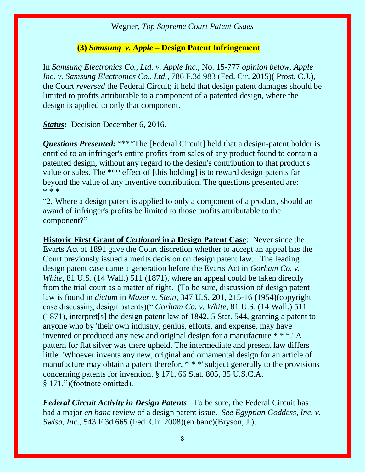#### **(3)** *Samsung v. Apple –* **Design Patent Infringement**

In *Samsung Electronics Co., Ltd. v. Apple Inc*., No. 15-777 *opinion below, Apple Inc. v. Samsung Electronics Co., Ltd.,* 786 F.3d 983 (Fed. Cir. 2015)( Prost, C.J.), the Court *reversed* the Federal Circuit; it held that design patent damages should be limited to profits attributable to a component of a patented design, where the design is applied to only that component.

*Status:* Decision December 6, 2016.

**Questions Presented:** "\*\*\*The [Federal Circuit] held that a design-patent holder is entitled to an infringer's entire profits from sales of any product found to contain a patented design, without any regard to the design's contribution to that product's value or sales. The \*\*\* effect of [this holding] is to reward design patents far beyond the value of any inventive contribution. The questions presented are: \* \* \*

"2. Where a design patent is applied to only a component of a product, should an award of infringer's profits be limited to those profits attributable to the component?"

**Historic First Grant of** *Certiorari* **in a Design Patent Case**: Never since the Evarts Act of 1891 gave the Court discretion whether to accept an appeal has the Court previously issued a merits decision on design patent law. The leading design patent case came a generation before the Evarts Act in *Gorham Co. v. White,* 81 U.S. (14 Wall.) 511 (1871), where an appeal could be taken directly from the trial court as a matter of right. (To be sure, discussion of design patent law is found in *dictum* in *Mazer v. Stein*, 347 U.S. 201, 215-16 (1954)(copyright case discussing design patents)(" *Gorham Co. v. White*, 81 U.S. (14 Wall.) 511 (1871), interpret[s] the design patent law of 1842, 5 Stat. 544, granting a patent to anyone who by 'their own industry, genius, efforts, and expense, may have invented or produced any new and original design for a manufacture \* \* \*.' A pattern for flat silver was there upheld. The intermediate and present law differs little. 'Whoever invents any new, original and ornamental design for an article of manufacture may obtain a patent therefor, \* \* \*' subject generally to the provisions concerning patents for invention. § 171, 66 Stat. 805, 35 U.S.C.A. § 171.")(footnote omitted).

*Federal Circuit Activity in Design Patents*: To be sure, the Federal Circuit has had a major *en banc* review of a design patent issue. *See Egyptian Goddess, Inc. v. Swisa, Inc*., 543 F.3d 665 (Fed. Cir. 2008)(en banc)(Bryson, J.).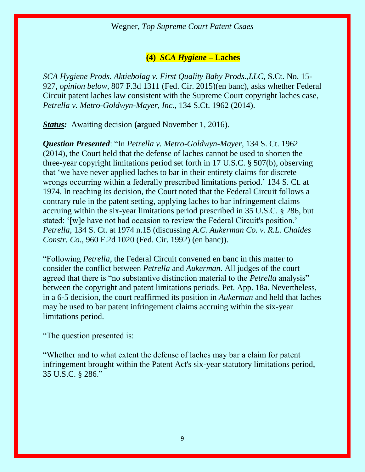## **(4)** *SCA Hygiene –* **Laches**

*SCA Hygiene Prods. Aktiebolag v. First Quality Baby Prods.,LLC,* S.Ct. No. 15- 927, *opinion below,* 807 F.3d 1311 (Fed. Cir. 2015)(en banc), asks whether Federal Circuit patent laches law consistent with the Supreme Court copyright laches case*, Petrella v. Metro-Goldwyn-Mayer, Inc.,* 134 S.Ct. 1962 (2014).

*Status:* Awaiting decision **(a**rgued November 1, 2016).

*Question Presented*: "In *[Petrella v. Metro-Goldwyn-Mayer,](https://1.next.westlaw.com/Link/Document/FullText?findType=Y&serNum=2033403958&pubNum=0000708&originatingDoc=Icc35451cc58a11e590d4edf60ce7d742&refType=RP&originationContext=document&transitionType=DocumentItem&contextData=(sc.Search))* 134 S. Ct. 1962 [\(2014\),](https://1.next.westlaw.com/Link/Document/FullText?findType=Y&serNum=2033403958&pubNum=0000708&originatingDoc=Icc35451cc58a11e590d4edf60ce7d742&refType=RP&originationContext=document&transitionType=DocumentItem&contextData=(sc.Search)) the Court held that the defense of laches cannot be used to shorten the three-year copyright limitations period set forth in [17 U.S.C. § 507\(b\),](https://1.next.westlaw.com/Link/Document/FullText?findType=L&pubNum=1000546&cite=17USCAS507&originatingDoc=Icc35451cc58a11e590d4edf60ce7d742&refType=RB&originationContext=document&transitionType=DocumentItem&contextData=(sc.Search)#co_pp_a83b000018c76) observing that 'we have never applied laches to bar in their entirety claims for discrete wrongs occurring within a federally prescribed limitations period.' [134 S. Ct. at](https://1.next.westlaw.com/Link/Document/FullText?findType=Y&serNum=2033403958&pubNum=0000708&originatingDoc=Icc35451cc58a11e590d4edf60ce7d742&refType=RP&fi=co_pp_sp_708_1974&originationContext=document&transitionType=DocumentItem&contextData=(sc.Search)#co_pp_sp_708_1974)  [1974.](https://1.next.westlaw.com/Link/Document/FullText?findType=Y&serNum=2033403958&pubNum=0000708&originatingDoc=Icc35451cc58a11e590d4edf60ce7d742&refType=RP&fi=co_pp_sp_708_1974&originationContext=document&transitionType=DocumentItem&contextData=(sc.Search)#co_pp_sp_708_1974) In reaching its decision, the Court noted that the Federal Circuit follows a contrary rule in the patent setting, applying laches to bar infringement claims accruing within the six-year limitations period prescribed in [35 U.S.C. § 286,](https://1.next.westlaw.com/Link/Document/FullText?findType=L&pubNum=1000546&cite=35USCAS286&originatingDoc=Icc35451cc58a11e590d4edf60ce7d742&refType=LQ&originationContext=document&transitionType=DocumentItem&contextData=(sc.Search)) but stated: '[w]e have not had occasion to review the Federal Circuit's position.' *Petrella,* [134 S. Ct. at 1974 n.15](https://1.next.westlaw.com/Link/Document/FullText?findType=Y&serNum=2033403958&pubNum=0000708&originatingDoc=Icc35451cc58a11e590d4edf60ce7d742&refType=RP&fi=co_pp_sp_708_1974&originationContext=document&transitionType=DocumentItem&contextData=(sc.Search)#co_pp_sp_708_1974) (discussing *[A.C. Aukerman Co. v. R.L. Chaides](https://1.next.westlaw.com/Link/Document/FullText?findType=Y&serNum=1992067191&pubNum=0000350&originatingDoc=Icc35451cc58a11e590d4edf60ce7d742&refType=RP&originationContext=document&transitionType=DocumentItem&contextData=(sc.Search))  Constr. Co.,* [960 F.2d 1020 \(Fed. Cir. 1992\)](https://1.next.westlaw.com/Link/Document/FullText?findType=Y&serNum=1992067191&pubNum=0000350&originatingDoc=Icc35451cc58a11e590d4edf60ce7d742&refType=RP&originationContext=document&transitionType=DocumentItem&contextData=(sc.Search)) (en banc)).

"Following *Petrella*, the Federal Circuit convened en banc in this matter to consider the conflict between *Petrella* and *Aukerman.* All judges of the court agreed that there is "no substantive distinction material to the *Petrella* analysis" between the copyright and patent limitations periods. Pet. App. 18a. Nevertheless, in a 6-5 decision, the court reaffirmed its position in *Aukerman* and held that laches may be used to bar patent infringement claims accruing within the six-year limitations period.

"The question presented is:

"Whether and to what extent the defense of laches may bar a claim for patent infringement brought within the Patent Act's six-year statutory limitations period, [35 U.S.C. § 286](https://1.next.westlaw.com/Link/Document/FullText?findType=L&pubNum=1000546&cite=35USCAS286&originatingDoc=Icc35451cc58a11e590d4edf60ce7d742&refType=LQ&originationContext=document&transitionType=DocumentItem&contextData=(sc.Search))."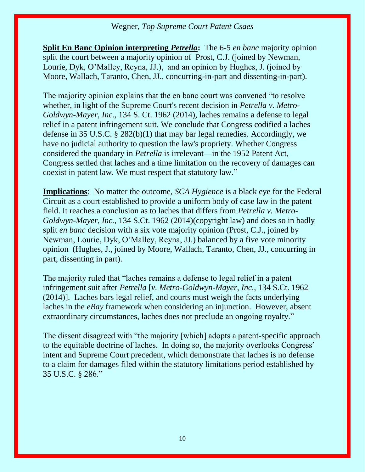**Split En Banc Opinion interpreting** *Petrella***:** The 6-5 *en banc* majority opinion split the court between a majority opinion of Prost, C.J. (joined by Newman, Lourie, Dyk, O'Malley, Reyna, JJ.), and an opinion by Hughes, J. (joined by Moore, Wallach, Taranto, Chen, JJ., concurring-in-part and dissenting-in-part).

The majority opinion explains that the en banc court was convened "to resolve whether, in light of the Supreme Court's recent decision in *Petrella v. Metro-Goldwyn-Mayer, Inc.*, 134 S. Ct. 1962 (2014), laches remains a defense to legal relief in a patent infringement suit. We conclude that Congress codified a laches defense in 35 U.S.C. § 282(b)(1) that may bar legal remedies. Accordingly, we have no judicial authority to question the law's propriety. Whether Congress considered the quandary in *Petrella* is irrelevant—in the 1952 Patent Act, Congress settled that laches and a time limitation on the recovery of damages can coexist in patent law. We must respect that statutory law."

**Implications**: No matter the outcome, *SCA Hygience* is a black eye for the Federal Circuit as a court established to provide a uniform body of case law in the patent field. It reaches a conclusion as to laches that differs from *Petrella v. Metro-Goldwyn-Mayer, Inc.,* 134 S.Ct. 1962 (2014)(copyright law) and does so in badly split *en banc* decision with a six vote majority opinion (Prost, C.J., joined by Newman, Lourie, Dyk, O'Malley, Reyna, JJ.) balanced by a five vote minority opinion (Hughes, J., joined by Moore, Wallach, Taranto, Chen, JJ., concurring in part, dissenting in part).

The majority ruled that "laches remains a defense to legal relief in a patent infringement suit after *Petrella* [*v. Metro-Goldwyn-Mayer, Inc.,* 134 S.Ct. 1962 (2014)]. Laches bars legal relief, and courts must weigh the facts underlying laches in the *eBay* framework when considering an injunction. However, absent extraordinary circumstances, laches does not preclude an ongoing royalty."

The dissent disagreed with "the majority [which] adopts a patent-specific approach to the equitable doctrine of laches. In doing so, the majority overlooks Congress' intent and Supreme Court precedent, which demonstrate that laches is no defense to a claim for damages filed within the statutory limitations period established by 35 U.S.C. § 286."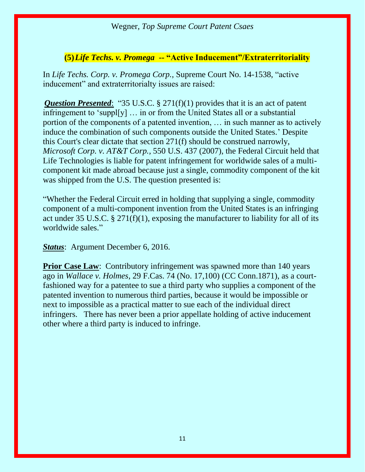#### **(5)***Life Techs. v. Promega* **-- "Active Inducement"/Extraterritoriality**

In *Life Techs. Corp. v. Promega Corp.,* Supreme Court No. 14-1538, "active inducement" and extraterritorialty issues are raised:

*Question Presented*: "[35 U.S.C. § 271\(f\)\(1\)](https://1.next.westlaw.com/Link/Document/FullText?findType=L&pubNum=1000546&cite=35USCAS271&originatingDoc=Ife4be31070eb11e6a795ac035416da91&refType=RB&originationContext=document&transitionType=DocumentItem&contextData=(sc.Search)#co_pp_9daf00009de57) provides that it is an act of patent infringement to 'suppl[y] … in or from the United States all or a substantial portion of the components of a patented invention, … in such manner as to actively induce the combination of such components outside the United States.' Despite this Court's clear dictate that [section 271\(f\)](https://1.next.westlaw.com/Link/Document/FullText?findType=L&pubNum=1000546&cite=35USCAS271&originatingDoc=Ife4be31070eb11e6a795ac035416da91&refType=RB&originationContext=document&transitionType=DocumentItem&contextData=(sc.Search)#co_pp_ae0d0000c5150) should be construed narrowly, *[Microsoft Corp. v. AT&T Corp.,](https://1.next.westlaw.com/Link/Document/FullText?findType=Y&serNum=2012126123&pubNum=0000780&originatingDoc=Ife4be31070eb11e6a795ac035416da91&refType=RP&originationContext=document&transitionType=DocumentItem&contextData=(sc.Search))* 550 U.S. 437 (2007), the Federal Circuit held that Life Technologies is liable for patent infringement for worldwide sales of a multicomponent kit made abroad because just a single, commodity component of the kit was shipped from the U.S. The question presented is:

"Whether the Federal Circuit erred in holding that supplying a single, commodity component of a multi-component invention from the United States is an infringing act under [35 U.S.C. § 271\(f\)\(1\),](https://1.next.westlaw.com/Link/Document/FullText?findType=L&pubNum=1000546&cite=35USCAS271&originatingDoc=Ife4be31070eb11e6a795ac035416da91&refType=RB&originationContext=document&transitionType=DocumentItem&contextData=(sc.Search)#co_pp_9daf00009de57) exposing the manufacturer to liability for all of its worldwide sales."

*Status*: Argument December 6, 2016.

**Prior Case Law:** Contributory infringement was spawned more than 140 years ago in *Wallace v. Holmes*, 29 F.Cas. 74 (No. 17,100) (CC Conn.1871), as a courtfashioned way for a patentee to sue a third party who supplies a component of the patented invention to numerous third parties, because it would be impossible or next to impossible as a practical matter to sue each of the individual direct infringers. There has never been a prior appellate holding of active inducement other where a third party is induced to infringe.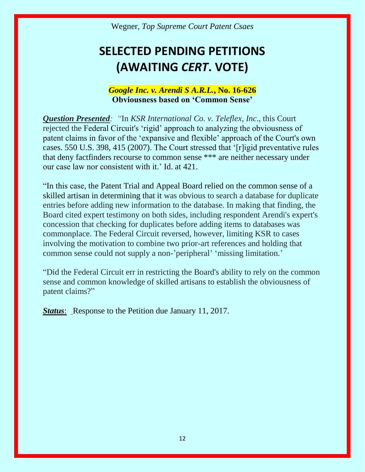# **SELECTED PENDING PETITIONS (AWAITING** *CERT***. VOTE)**

### *Google Inc. v. Arendi S A.R.L.***, No. 16-626 Obviousness based on 'Common Sense'**

*Question Presented: "*In *KSR International Co. v. Teleflex, Inc*., this Court rejected the Federal Circuit's 'rigid' approach to analyzing the obviousness of patent claims in favor of the 'expansive and flexible' approach of the Court's own cases. [550 U.S. 398, 415 \(2007\)](https://1.next.westlaw.com/Link/Document/FullText?findType=Y&serNum=2012126122&pubNum=0000780&originatingDoc=Icac3ec17a77811e6bfb79a463a4b3bc7&refType=RP&fi=co_pp_sp_780_415&originationContext=document&transitionType=DocumentItem&contextData=(sc.Search)#co_pp_sp_780_415). The Court stressed that '[r]igid preventative rules that deny factfinders recourse to common sense \*\*\* are neither necessary under our case law nor consistent with it.' [Id. at 421.](https://1.next.westlaw.com/Link/Document/FullText?findType=Y&serNum=2012126122&pubNum=0000780&originatingDoc=Icac3ec17a77811e6bfb79a463a4b3bc7&refType=RP&fi=co_pp_sp_780_421&originationContext=document&transitionType=DocumentItem&contextData=(sc.Search)#co_pp_sp_780_421)

"In this case, the Patent Trial and Appeal Board relied on the common sense of a skilled artisan in determining that it was obvious to search a database for duplicate entries before adding new information to the database. In making that finding, the Board cited expert testimony on both sides, including respondent Arendi's expert's concession that checking for duplicates before adding items to databases was commonplace. The Federal Circuit reversed, however, limiting KSR to cases involving the motivation to combine two prior-art references and holding that common sense could not supply a non-'peripheral' 'missing limitation.'

"Did the Federal Circuit err in restricting the Board's ability to rely on the common sense and common knowledge of skilled artisans to establish the obviousness of patent claims?"

*Status*: Response to the Petition due January 11, 2017.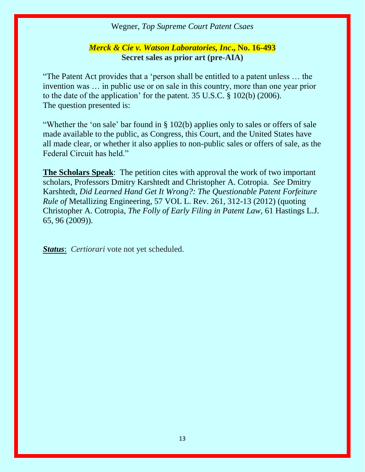#### *Merck & Cie v. Watson Laboratories, Inc***., No. 16-493 Secret sales as prior art (pre-AIA)**

"The Patent Act provides that a 'person shall be entitled to a patent unless … the invention was … in public use or on sale in this country, more than one year prior to the date of the application' for the patent. 35 U.S.C. § 102(b) (2006). The question presented is:

"Whether the 'on sale' bar found in § 102(b) applies only to sales or offers of sale made available to the public, as Congress, this Court, and the United States have all made clear, or whether it also applies to non-public sales or offers of sale, as the Federal Circuit has held."

**The Scholars Speak**: The petition cites with approval the work of two important scholars, Professors Dmitry Karshtedt and Christopher A. Cotropia. *See* Dmitry Karshtedt, *Did Learned Hand Get It Wrong?: The Questionable Patent Forfeiture Rule of* Metallizing Engineering, 57 VOL L. Rev. 261, 312-13 (2012) (quoting Christopher A. Cotropia, *The Folly of Early Filing in Patent Law,* 61 Hastings L.J. 65, 96 (2009)).

*Status*: *Certiorari* vote not yet scheduled.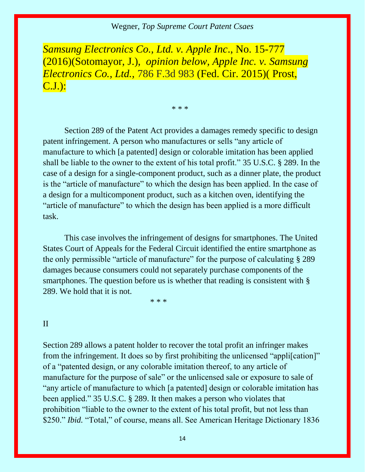*Samsung Electronics Co., Ltd. v. Apple Inc*., No. 15-777 (2016)(Sotomayor, J.), *opinion below, Apple Inc. v. Samsung Electronics Co., Ltd.,* 786 F.3d 983 (Fed. Cir. 2015)( Prost, C.J.):

\* \* \*

Section 289 of the Patent Act provides a damages remedy specific to design patent infringement. A person who manufactures or sells "any article of manufacture to which [a patented] design or colorable imitation has been applied shall be liable to the owner to the extent of his total profit." [35 U.S.C. § 289.](https://1.next.westlaw.com/Link/Document/FullText?findType=L&pubNum=1000546&cite=35USCAS289&originatingDoc=I56816fcbbbbb11e6b73588f1a9cfce05&refType=LQ&originationContext=document&transitionType=DocumentItem&contextData=(sc.Search)) In the case of a design for a single-component product, such as a dinner plate, the product is the "article of manufacture" to which the design has been applied. In the case of a design for a multicomponent product, such as a kitchen oven, identifying the "article of manufacture" to which the design has been applied is a more difficult task.

This case involves the infringement of designs for smartphones. The United States Court of Appeals for the Federal Circuit identified the entire smartphone as the only permissible "article of manufacture" for the purpose of calculating [§ 289](https://1.next.westlaw.com/Link/Document/FullText?findType=L&pubNum=1000546&cite=35USCAS289&originatingDoc=I56816fcbbbbb11e6b73588f1a9cfce05&refType=LQ&originationContext=document&transitionType=DocumentItem&contextData=(sc.Search)) damages because consumers could not separately purchase components of the smartphones. The question before us is whether that reading is consistent with § [289.](https://1.next.westlaw.com/Link/Document/FullText?findType=L&pubNum=1000546&cite=35USCAS289&originatingDoc=I56816fcbbbbb11e6b73588f1a9cfce05&refType=LQ&originationContext=document&transitionType=DocumentItem&contextData=(sc.Search)) We hold that it is not.

\* \* \*

#### II

[Section 289](https://1.next.westlaw.com/Link/Document/FullText?findType=L&pubNum=1000546&cite=35USCAS289&originatingDoc=I56816fcbbbbb11e6b73588f1a9cfce05&refType=LQ&originationContext=document&transitionType=DocumentItem&contextData=(sc.Search)) allows a patent holder to recover the total profit an infringer makes from the infringement. It does so by first prohibiting the unlicensed "applification]" of a "patented design, or any colorable imitation thereof, to any article of manufacture for the purpose of sale" or the unlicensed sale or exposure to sale of "any article of manufacture to which [a patented] design or colorable imitation has been applied." [35 U.S.C. § 289.](https://1.next.westlaw.com/Link/Document/FullText?findType=L&pubNum=1000546&cite=35USCAS289&originatingDoc=I56816fcbbbbb11e6b73588f1a9cfce05&refType=LQ&originationContext=document&transitionType=DocumentItem&contextData=(sc.Search)) It then makes a person who violates that prohibition "liable to the owner to the extent of his total profit, but not less than \$250." *Ibid.* "Total," of course, means all. See American Heritage Dictionary 1836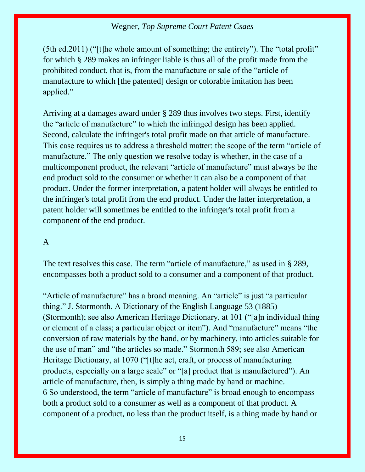(5th ed.2011) ("[t]he whole amount of something; the entirety"). The "total profit" for which [§ 289](https://1.next.westlaw.com/Link/Document/FullText?findType=L&pubNum=1000546&cite=35USCAS289&originatingDoc=I56816fcbbbbb11e6b73588f1a9cfce05&refType=LQ&originationContext=document&transitionType=DocumentItem&contextData=(sc.Search)) makes an infringer liable is thus all of the profit made from the prohibited conduct, that is, from the manufacture or sale of the "article of manufacture to which [the patented] design or colorable imitation has been applied."

Arriving at a damages award under [§ 289](https://1.next.westlaw.com/Link/Document/FullText?findType=L&pubNum=1000546&cite=35USCAS289&originatingDoc=I56816fcbbbbb11e6b73588f1a9cfce05&refType=LQ&originationContext=document&transitionType=DocumentItem&contextData=(sc.Search)) thus involves two steps. First, identify the "article of manufacture" to which the infringed design has been applied. Second, calculate the infringer's total profit made on that article of manufacture. This case requires us to address a threshold matter: the scope of the term "article of manufacture." The only question we resolve today is whether, in the case of a multicomponent product, the relevant "article of manufacture" must always be the end product sold to the consumer or whether it can also be a component of that product. Under the former interpretation, a patent holder will always be entitled to the infringer's total profit from the end product. Under the latter interpretation, a patent holder will sometimes be entitled to the infringer's total profit from a component of the end product.

#### A

The text resolves this case. The term "article of manufacture," as used in [§ 289,](https://1.next.westlaw.com/Link/Document/FullText?findType=L&pubNum=1000546&cite=35USCAS289&originatingDoc=I56816fcbbbbb11e6b73588f1a9cfce05&refType=LQ&originationContext=document&transitionType=DocumentItem&contextData=(sc.Search)) encompasses both a product sold to a consumer and a component of that product.

"Article of manufacture" has a broad meaning. An "article" is just "a particular thing." J. Stormonth, A Dictionary of the English Language 53 (1885) (Stormonth); see also American Heritage Dictionary, at 101 ("[a]n individual thing or element of a class; a particular object or item"). And "manufacture" means "the conversion of raw materials by the hand, or by machinery, into articles suitable for the use of man" and "the articles so made." Stormonth 589; see also American Heritage Dictionary, at 1070 ("[t]he act, craft, or process of manufacturing products, especially on a large scale" or "[a] product that is manufactured"). An article of manufacture, then, is simply a thing made by hand or machine. [6](https://1.next.westlaw.com/Document/I56816fcbbbbb11e6b73588f1a9cfce05/View/FullText.html?navigationPath=Search%2Fv3%2Fsearch%2Fresults%2Fnavigation%2Fi0ad62af000000158d590d6fe40ff880c%3FNav%3DCASE%26navQualifier%3DI2b2233d01b7a11e598db8b09b4f043e0%26fragmentIdentifier%3DI56816fcbbbbb11e6b73588f1a9cfce05%26startIndex%3D1%26contextData%3D%2528sc.Search%2529%26transitionType%3DSearchItem&listSource=Search&listPageSource=4d8a0cf51854a1bdce95588e3c2eba10&list=ALL&rank=1&grading=na&sessionScopeId=f3e30cd53dab7cf84e11322f7887090395282b151389bb631c8f7d5ba249c1b4&originationContext=Search%20Result&transitionType=SearchItem&contextData=%28sc.Search%29#co_anchor_F62040456599) So understood, the term "article of manufacture" is broad enough to encompass both a product sold to a consumer as well as a component of that product. A component of a product, no less than the product itself, is a thing made by hand or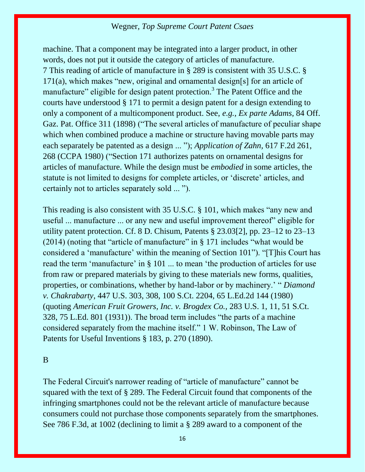machine. That a component may be integrated into a larger product, in other words, does not put it outside the category of articles of manufacture. [7](https://1.next.westlaw.com/Document/I56816fcbbbbb11e6b73588f1a9cfce05/View/FullText.html?navigationPath=Search%2Fv3%2Fsearch%2Fresults%2Fnavigation%2Fi0ad62af000000158d590d6fe40ff880c%3FNav%3DCASE%26navQualifier%3DI2b2233d01b7a11e598db8b09b4f043e0%26fragmentIdentifier%3DI56816fcbbbbb11e6b73588f1a9cfce05%26startIndex%3D1%26contextData%3D%2528sc.Search%2529%26transitionType%3DSearchItem&listSource=Search&listPageSource=4d8a0cf51854a1bdce95588e3c2eba10&list=ALL&rank=1&grading=na&sessionScopeId=f3e30cd53dab7cf84e11322f7887090395282b151389bb631c8f7d5ba249c1b4&originationContext=Search%20Result&transitionType=SearchItem&contextData=%28sc.Search%29#co_anchor_F72040456599) This reading of article of manufacture in [§ 289](https://1.next.westlaw.com/Link/Document/FullText?findType=L&pubNum=1000546&cite=35USCAS289&originatingDoc=I56816fcbbbbb11e6b73588f1a9cfce05&refType=LQ&originationContext=document&transitionType=DocumentItem&contextData=(sc.Search)) is consistent with [35 U.S.C. §](https://1.next.westlaw.com/Link/Document/FullText?findType=L&pubNum=1000546&cite=35USCAS171&originatingDoc=I56816fcbbbbb11e6b73588f1a9cfce05&refType=RB&originationContext=document&transitionType=DocumentItem&contextData=(sc.Search)#co_pp_8b3b0000958a4)  [171\(a\)](https://1.next.westlaw.com/Link/Document/FullText?findType=L&pubNum=1000546&cite=35USCAS171&originatingDoc=I56816fcbbbbb11e6b73588f1a9cfce05&refType=RB&originationContext=document&transitionType=DocumentItem&contextData=(sc.Search)#co_pp_8b3b0000958a4), which makes "new, original and ornamental design[s] for an article of manufacture" eligible for design patent protection.<sup>[3](https://1.next.westlaw.com/Document/I56816fcbbbbb11e6b73588f1a9cfce05/View/FullText.html?navigationPath=Search%2Fv3%2Fsearch%2Fresults%2Fnavigation%2Fi0ad62af000000158d590d6fe40ff880c%3FNav%3DCASE%26navQualifier%3DI2b2233d01b7a11e598db8b09b4f043e0%26fragmentIdentifier%3DI56816fcbbbbb11e6b73588f1a9cfce05%26startIndex%3D1%26contextData%3D%2528sc.Search%2529%26transitionType%3DSearchItem&listSource=Search&listPageSource=4d8a0cf51854a1bdce95588e3c2eba10&list=ALL&rank=1&grading=na&sessionScopeId=f3e30cd53dab7cf84e11322f7887090395282b151389bb631c8f7d5ba249c1b4&originationContext=Search%20Result&transitionType=SearchItem&contextData=%28sc.Search%29#co_footnote_B00432040456599)</sup> The Patent Office and the courts have understood [§ 171](https://1.next.westlaw.com/Link/Document/FullText?findType=L&pubNum=1000546&cite=35USCAS171&originatingDoc=I56816fcbbbbb11e6b73588f1a9cfce05&refType=LQ&originationContext=document&transitionType=DocumentItem&contextData=(sc.Search)) to permit a design patent for a design extending to only a component of a multicomponent product. See, *e.g., Ex parte Adams,* [84 Off.](https://1.next.westlaw.com/Link/Document/FullText?findType=Y&pubNum=0000859&cite=84OFFGAZPATOF311&originatingDoc=I56816fcbbbbb11e6b73588f1a9cfce05&refType=RP&originationContext=document&transitionType=DocumentItem&contextData=(sc.Search))  [Gaz. Pat. Office 311 \(1898\)](https://1.next.westlaw.com/Link/Document/FullText?findType=Y&pubNum=0000859&cite=84OFFGAZPATOF311&originatingDoc=I56816fcbbbbb11e6b73588f1a9cfce05&refType=RP&originationContext=document&transitionType=DocumentItem&contextData=(sc.Search)) ("The several articles of manufacture of peculiar shape which when combined produce a machine or structure having movable parts may each separately be patented as a design ... "); *[Application of Zahn,](https://1.next.westlaw.com/Link/Document/FullText?findType=Y&serNum=1980107168&pubNum=0000350&originatingDoc=I56816fcbbbbb11e6b73588f1a9cfce05&refType=RP&fi=co_pp_sp_350_268&originationContext=document&transitionType=DocumentItem&contextData=(sc.Search)#co_pp_sp_350_268)* 617 F.2d 261, [268 \(CCPA 1980\)](https://1.next.westlaw.com/Link/Document/FullText?findType=Y&serNum=1980107168&pubNum=0000350&originatingDoc=I56816fcbbbbb11e6b73588f1a9cfce05&refType=RP&fi=co_pp_sp_350_268&originationContext=document&transitionType=DocumentItem&contextData=(sc.Search)#co_pp_sp_350_268) ("[Section 171](https://1.next.westlaw.com/Link/Document/FullText?findType=L&pubNum=1000546&cite=35USCAS171&originatingDoc=I56816fcbbbbb11e6b73588f1a9cfce05&refType=LQ&originationContext=document&transitionType=DocumentItem&contextData=(sc.Search)) authorizes patents on ornamental designs for articles of manufacture. While the design must be *embodied* in some articles, the statute is not limited to designs for complete articles, or 'discrete' articles, and certainly not to articles separately sold ... ").

This reading is also consistent with [35 U.S.C. § 101,](https://1.next.westlaw.com/Link/Document/FullText?findType=L&pubNum=1000546&cite=35USCAS101&originatingDoc=I56816fcbbbbb11e6b73588f1a9cfce05&refType=LQ&originationContext=document&transitionType=DocumentItem&contextData=(sc.Search)) which makes "any new and useful ... manufacture ... or any new and useful improvement thereof" eligible for utility patent protection. Cf. 8 D. Chisum, Patents § 23.03[2], pp. 23–12 to 23–13 (2014) (noting that "article of manufacture" in  $\S 171$  includes "what would be considered a 'manufacture' within the meaning of [Section 101](https://1.next.westlaw.com/Link/Document/FullText?findType=L&pubNum=1000546&cite=35USCAS101&originatingDoc=I56816fcbbbbb11e6b73588f1a9cfce05&refType=LQ&originationContext=document&transitionType=DocumentItem&contextData=(sc.Search))"). "[T]his Court has read the term 'manufacture' in [§ 101](https://1.next.westlaw.com/Link/Document/FullText?findType=L&pubNum=1000546&cite=35USCAS101&originatingDoc=I56816fcbbbbb11e6b73588f1a9cfce05&refType=LQ&originationContext=document&transitionType=DocumentItem&contextData=(sc.Search)) ... to mean 'the production of articles for use from raw or prepared materials by giving to these materials new forms, qualities, properties, or combinations, whether by hand-labor or by machinery.' " *[Diamond](https://1.next.westlaw.com/Link/Document/FullText?findType=Y&serNum=1980116775&pubNum=0000708&originatingDoc=I56816fcbbbbb11e6b73588f1a9cfce05&refType=RP&originationContext=document&transitionType=DocumentItem&contextData=(sc.Search))  v. Chakrabarty,* [447 U.S. 303, 308, 100 S.Ct. 2204, 65 L.Ed.2d 144 \(1980\)](https://1.next.westlaw.com/Link/Document/FullText?findType=Y&serNum=1980116775&pubNum=0000708&originatingDoc=I56816fcbbbbb11e6b73588f1a9cfce05&refType=RP&originationContext=document&transitionType=DocumentItem&contextData=(sc.Search)) (quoting *[American Fruit Growers, Inc. v. Brogdex Co.,](https://1.next.westlaw.com/Link/Document/FullText?findType=Y&serNum=1931123423&pubNum=0000708&originatingDoc=I56816fcbbbbb11e6b73588f1a9cfce05&refType=RP&originationContext=document&transitionType=DocumentItem&contextData=(sc.Search))* 283 U.S. 1, 11, 51 S.Ct. [328, 75 L.Ed. 801 \(1931\)](https://1.next.westlaw.com/Link/Document/FullText?findType=Y&serNum=1931123423&pubNum=0000708&originatingDoc=I56816fcbbbbb11e6b73588f1a9cfce05&refType=RP&originationContext=document&transitionType=DocumentItem&contextData=(sc.Search))). The broad term includes "the parts of a machine considered separately from the machine itself." 1 W. Robinson, The Law of Patents for Useful Inventions § 183, p. 270 (1890).

#### B

The Federal Circuit's narrower reading of "article of manufacture" cannot be squared with the text of [§ 289.](https://1.next.westlaw.com/Link/Document/FullText?findType=L&pubNum=1000546&cite=35USCAS289&originatingDoc=I56816fcbbbbb11e6b73588f1a9cfce05&refType=LQ&originationContext=document&transitionType=DocumentItem&contextData=(sc.Search)) The Federal Circuit found that components of the infringing smartphones could not be the relevant article of manufacture because consumers could not purchase those components separately from the smartphones. See [786 F.3d, at 1002](https://1.next.westlaw.com/Link/Document/FullText?findType=Y&serNum=2036282484&pubNum=0000506&originatingDoc=I56816fcbbbbb11e6b73588f1a9cfce05&refType=RP&fi=co_pp_sp_506_1002&originationContext=document&transitionType=DocumentItem&contextData=(sc.Search)#co_pp_sp_506_1002) (declining to limit a [§ 289](https://1.next.westlaw.com/Link/Document/FullText?findType=L&pubNum=1000546&cite=35USCAS289&originatingDoc=I56816fcbbbbb11e6b73588f1a9cfce05&refType=LQ&originationContext=document&transitionType=DocumentItem&contextData=(sc.Search)) award to a component of the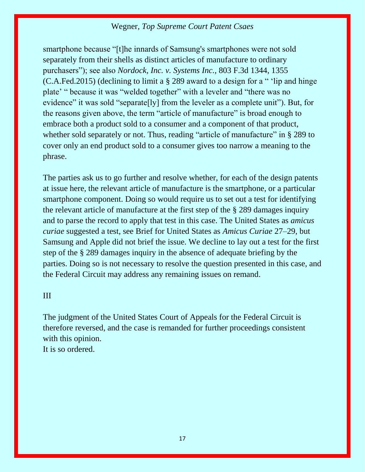smartphone because "[t]he innards of Samsung's smartphones were not sold separately from their shells as distinct articles of manufacture to ordinary purchasers"); see also *[Nordock, Inc. v. Systems Inc.,](https://1.next.westlaw.com/Link/Document/FullText?findType=Y&serNum=2037273571&pubNum=0000506&originatingDoc=I56816fcbbbbb11e6b73588f1a9cfce05&refType=RP&fi=co_pp_sp_506_1355&originationContext=document&transitionType=DocumentItem&contextData=(sc.Search)#co_pp_sp_506_1355)* 803 F.3d 1344, 1355 [\(C.A.Fed.2015\)](https://1.next.westlaw.com/Link/Document/FullText?findType=Y&serNum=2037273571&pubNum=0000506&originatingDoc=I56816fcbbbbb11e6b73588f1a9cfce05&refType=RP&fi=co_pp_sp_506_1355&originationContext=document&transitionType=DocumentItem&contextData=(sc.Search)#co_pp_sp_506_1355) (declining to limit a [§ 289](https://1.next.westlaw.com/Link/Document/FullText?findType=L&pubNum=1000546&cite=35USCAS289&originatingDoc=I56816fcbbbbb11e6b73588f1a9cfce05&refType=LQ&originationContext=document&transitionType=DocumentItem&contextData=(sc.Search)) award to a design for a " 'lip and hinge plate' " because it was "welded together" with a leveler and "there was no evidence" it was sold "separate[ly] from the leveler as a complete unit"). But, for the reasons given above, the term "article of manufacture" is broad enough to embrace both a product sold to a consumer and a component of that product, whether sold separately or not. Thus, reading "article of manufacture" in [§ 289](https://1.next.westlaw.com/Link/Document/FullText?findType=L&pubNum=1000546&cite=35USCAS289&originatingDoc=I56816fcbbbbb11e6b73588f1a9cfce05&refType=LQ&originationContext=document&transitionType=DocumentItem&contextData=(sc.Search)) to cover only an end product sold to a consumer gives too narrow a meaning to the phrase.

The parties ask us to go further and resolve whether, for each of the design patents at issue here, the relevant article of manufacture is the smartphone, or a particular smartphone component. Doing so would require us to set out a test for identifying the relevant article of manufacture at the first step of the [§ 289](https://1.next.westlaw.com/Link/Document/FullText?findType=L&pubNum=1000546&cite=35USCAS289&originatingDoc=I56816fcbbbbb11e6b73588f1a9cfce05&refType=LQ&originationContext=document&transitionType=DocumentItem&contextData=(sc.Search)) damages inquiry and to parse the record to apply that test in this case. The United States as *amicus curiae* suggested a test, see Brief for United States as *Amicus Curiae* 27–29, but Samsung and Apple did not brief the issue. We decline to lay out a test for the first step of the [§ 289](https://1.next.westlaw.com/Link/Document/FullText?findType=L&pubNum=1000546&cite=35USCAS289&originatingDoc=I56816fcbbbbb11e6b73588f1a9cfce05&refType=LQ&originationContext=document&transitionType=DocumentItem&contextData=(sc.Search)) damages inquiry in the absence of adequate briefing by the parties. Doing so is not necessary to resolve the question presented in this case, and the Federal Circuit may address any remaining issues on remand.

## III

The judgment of the United States Court of Appeals for the Federal Circuit is therefore reversed, and the case is remanded for further proceedings consistent with this opinion.

It is so ordered.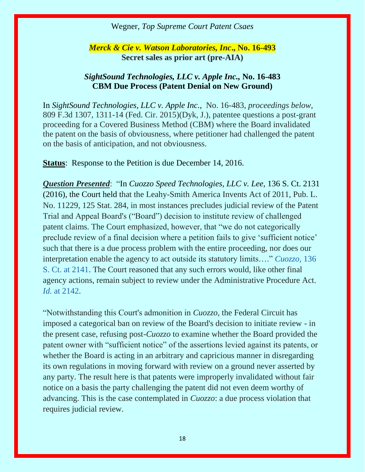*Merck & Cie v. Watson Laboratories, Inc***., No. 16-493 Secret sales as prior art (pre-AIA)**

#### *[SightSound Technologies, LLC v. Apple Inc.,](https://1.next.westlaw.com/Document/Ia2a2b5c1a3ad11e5a807ad48145ed9f1/View/FullText.html?listSource=Search&navigationPath=Search%2fv3%2fsearch%2fresults%2fnavigation%2fi0ad62aef00000158e9fa89e30a4d0617%3fNav%3dCASE%26fragmentIdentifier%3dIa2a2b5c1a3ad11e5a807ad48145ed9f1%26startIndex%3d1%26contextData%3d%2528sc.Search%2529%26transitionType%3dSearchItem&list=ALL&rank=1&listPageSource=33c74380bf41fc260ace13cccee4be4f&originationContext=docHeader&contextData=(sc.Search)&transitionType=Document&needToInjectTerms=False&enableBestPortion=True&docSource=06147756e7424505bb66eb784cc5691a)* **No. 16-483 CBM Due Process (Patent Denial on New Ground)**

In *[SightSound Technologies, LLC v. Apple Inc.](https://1.next.westlaw.com/Document/Ia2a2b5c1a3ad11e5a807ad48145ed9f1/View/FullText.html?listSource=Search&navigationPath=Search%2fv3%2fsearch%2fresults%2fnavigation%2fi0ad62aef00000158e9fa89e30a4d0617%3fNav%3dCASE%26fragmentIdentifier%3dIa2a2b5c1a3ad11e5a807ad48145ed9f1%26startIndex%3d1%26contextData%3d%2528sc.Search%2529%26transitionType%3dSearchItem&list=ALL&rank=1&listPageSource=33c74380bf41fc260ace13cccee4be4f&originationContext=docHeader&contextData=(sc.Search)&transitionType=Document&needToInjectTerms=False&enableBestPortion=True&docSource=06147756e7424505bb66eb784cc5691a)*, No. 16-483, *proceedings below,* 809 F.3d 1307, 1311-14 (Fed. Cir. 2015)(Dyk, J.), patentee questions a post-grant proceeding for a Covered Business Method (CBM) where the Board invalidated the patent on the basis of obviousness, where petitioner had challenged the patent on the basis of anticipation, and not obviousness.

**Status**: Response to the Petition is due December 14, 2016.

*Question Presented*: "In *Cuozzo Speed Technologies, LLC v. Lee,* 136 S. Ct. 2131 (2016), the Court held that the Leahy-Smith America Invents Act of 2011, Pub. L. No. 11229, 125 Stat. 284, in most instances precludes judicial review of the Patent Trial and Appeal Board's ("Board") decision to institute review of challenged patent claims. The Court emphasized, however, that "we do not categorically preclude review of a final decision where a petition fails to give 'sufficient notice' such that there is a due process problem with the entire proceeding, nor does our interpretation enable the agency to act outside its statutory limits…." *[Cuozzo,](https://1.next.westlaw.com/Link/Document/FullText?findType=Y&serNum=2039199307&pubNum=0000708&originatingDoc=I60016259925411e694bae40cad3637b1&refType=RP&fi=co_pp_sp_708_2141&originationContext=document&transitionType=DocumentItem&contextData=(sc.Search)#co_pp_sp_708_2141)* 136 [S. Ct. at 2141.](https://1.next.westlaw.com/Link/Document/FullText?findType=Y&serNum=2039199307&pubNum=0000708&originatingDoc=I60016259925411e694bae40cad3637b1&refType=RP&fi=co_pp_sp_708_2141&originationContext=document&transitionType=DocumentItem&contextData=(sc.Search)#co_pp_sp_708_2141) The Court reasoned that any such errors would, like other final agency actions, remain subject to review under the Administrative Procedure Act. *Id.* [at 2142.](https://1.next.westlaw.com/Link/Document/FullText?findType=Y&serNum=2039199307&pubNum=0000708&originatingDoc=I60016259925411e694bae40cad3637b1&refType=RP&fi=co_pp_sp_708_2142&originationContext=document&transitionType=DocumentItem&contextData=(sc.Search)#co_pp_sp_708_2142)

"Notwithstanding this Court's admonition in *Cuozzo,* the Federal Circuit has imposed a categorical ban on review of the Board's decision to initiate review - in the present case, refusing post-*Cuozzo* to examine whether the Board provided the patent owner with "sufficient notice" of the assertions levied against its patents, or whether the Board is acting in an arbitrary and capricious manner in disregarding its own regulations in moving forward with review on a ground never asserted by any party. The result here is that patents were improperly invalidated without fair notice on a basis the party challenging the patent did not even deem worthy of advancing. This is the case contemplated in *Cuozzo*: a due process violation that requires judicial review.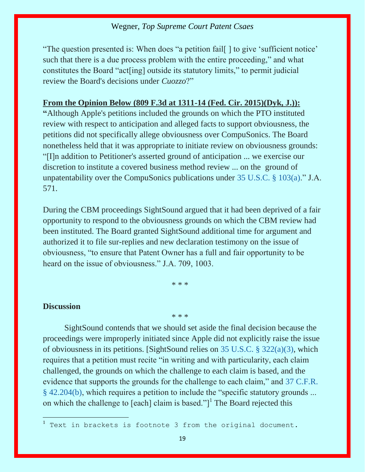"The question presented is: When does "a petition fail[ ] to give 'sufficient notice' such that there is a due process problem with the entire proceeding," and what constitutes the Board "act[ing] outside its statutory limits," to permit judicial review the Board's decisions under *Cuozzo*?"

#### **From the Opinion Below (809 F.3d at 1311-14 (Fed. Cir. 2015)(Dyk, J.)):**

**"**Although Apple's petitions included the grounds on which the PTO instituted review with respect to anticipation and alleged facts to support obviousness, the petitions did not specifically allege obviousness over CompuSonics. The Board nonetheless held that it was appropriate to initiate review on obviousness grounds: "[I]n addition to Petitioner's asserted ground of anticipation ... we exercise our discretion to institute a covered business method review ... on the ground of unpatentability over the CompuSonics publications under [35 U.S.C. §](https://1.next.westlaw.com/Link/Document/FullText?findType=L&pubNum=1000546&cite=35USCAS103&originatingDoc=Ia2a2b5c1a3ad11e5a807ad48145ed9f1&refType=LQ&originationContext=document&transitionType=DocumentItem&contextData=(sc.Search)) 103(a)." J.A. 571.

During the CBM proceedings SightSound argued that it had been deprived of a fair opportunity to respond to the obviousness grounds on which the CBM review had been instituted. The Board granted SightSound additional time for argument and authorized it to file sur-replies and new declaration testimony on the issue of obviousness, "to ensure that Patent Owner has a full and fair opportunity to be heard on the issue of obviousness." J.A. 709, 1003.

\* \* \*

\* \* \*

#### **Discussion**

SightSound contends that we should set aside the final decision because the proceedings were improperly initiated since Apple did not explicitly raise the issue of obviousness in its petitions. [SightSound relies on [35 U.S.C. § 322\(a\)\(3\),](https://1.next.westlaw.com/Link/Document/FullText?findType=L&pubNum=1000546&cite=35USCAS322&originatingDoc=Ia2a2b5c1a3ad11e5a807ad48145ed9f1&refType=RB&originationContext=document&transitionType=DocumentItem&contextData=(sc.Search)#co_pp_28cc0000ccca6) which requires that a petition must recite "in writing and with particularity, each claim challenged, the grounds on which the challenge to each claim is based, and the evidence that supports the grounds for the challenge to each claim," and [37 C.F.R.](https://1.next.westlaw.com/Link/Document/FullText?findType=L&pubNum=1000547&cite=37CFRS42.204&originatingDoc=Ia2a2b5c1a3ad11e5a807ad48145ed9f1&refType=RB&originationContext=document&transitionType=DocumentItem&contextData=(sc.Search)#co_pp_a83b000018c76)  [§ 42.204\(b\)](https://1.next.westlaw.com/Link/Document/FullText?findType=L&pubNum=1000547&cite=37CFRS42.204&originatingDoc=Ia2a2b5c1a3ad11e5a807ad48145ed9f1&refType=RB&originationContext=document&transitionType=DocumentItem&contextData=(sc.Search)#co_pp_a83b000018c76), which requires a petition to include the "specific statutory grounds ... on which the challenge to [each] claim is based."]<sup>1</sup> The Board rejected this

<sup>1</sup> Text in brackets is footnote 3 from the original document.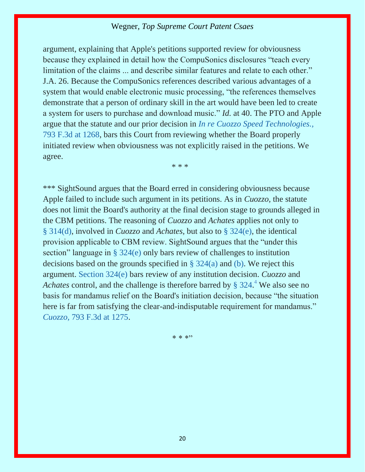argument, explaining that Apple's petitions supported review for obviousness because they explained in detail how the CompuSonics disclosures "teach every limitation of the claims ... and describe similar features and relate to each other." J.A. 26. Because the CompuSonics references described various advantages of a system that would enable electronic music processing, "the references themselves demonstrate that a person of ordinary skill in the art would have been led to create a system for users to purchase and download music." *Id.* at 40. The PTO and Apple argue that the statute and our prior decision in *[In re Cuozzo Speed Technologies.,](https://1.next.westlaw.com/Link/Document/FullText?findType=Y&serNum=2036640877&pubNum=0000506&originatingDoc=Ia2a2b5c1a3ad11e5a807ad48145ed9f1&refType=RP&fi=co_pp_sp_506_1268&originationContext=document&transitionType=DocumentItem&contextData=(sc.Search)#co_pp_sp_506_1268)* [793 F.3d at 1268,](https://1.next.westlaw.com/Link/Document/FullText?findType=Y&serNum=2036640877&pubNum=0000506&originatingDoc=Ia2a2b5c1a3ad11e5a807ad48145ed9f1&refType=RP&fi=co_pp_sp_506_1268&originationContext=document&transitionType=DocumentItem&contextData=(sc.Search)#co_pp_sp_506_1268) bars this Court from reviewing whether the Board properly initiated review when obviousness was not explicitly raised in the petitions. We agree.

\* \* \*

\*\*\* SightSound argues that the Board erred in considering obviousness because Apple failed to include such argument in its petitions. As in *Cuozzo,* the statute does not limit the Board's authority at the final decision stage to grounds alleged in the CBM petitions. The reasoning of *Cuozzo* and *Achates* applies not only to § [314\(d\),](https://1.next.westlaw.com/Link/Document/FullText?findType=L&pubNum=1000546&cite=35USCAS314&originatingDoc=Ia2a2b5c1a3ad11e5a807ad48145ed9f1&refType=RB&originationContext=document&transitionType=DocumentItem&contextData=(sc.Search)#co_pp_5ba1000067d06) involved in *Cuozzo* and *Achates,* but also to [§ 324\(e\),](https://1.next.westlaw.com/Link/Document/FullText?findType=L&pubNum=1000546&cite=35USCAS324&originatingDoc=Ia2a2b5c1a3ad11e5a807ad48145ed9f1&refType=RB&originationContext=document&transitionType=DocumentItem&contextData=(sc.Search)#co_pp_7fdd00001ca15) the identical provision applicable to CBM review. SightSound argues that the "under this section" language in [§ 324\(e\)](https://1.next.westlaw.com/Link/Document/FullText?findType=L&pubNum=1000546&cite=35USCAS324&originatingDoc=Ia2a2b5c1a3ad11e5a807ad48145ed9f1&refType=RB&originationContext=document&transitionType=DocumentItem&contextData=(sc.Search)#co_pp_7fdd00001ca15) only bars review of challenges to institution decisions based on the grounds specified in [§ 324\(a\)](https://1.next.westlaw.com/Link/Document/FullText?findType=L&pubNum=1000546&cite=35USCAS324&originatingDoc=Ia2a2b5c1a3ad11e5a807ad48145ed9f1&refType=RB&originationContext=document&transitionType=DocumentItem&contextData=(sc.Search)#co_pp_8b3b0000958a4) and [\(b\).](https://1.next.westlaw.com/Link/Document/FullText?findType=L&pubNum=1000546&cite=35USCAS324&originatingDoc=Ia2a2b5c1a3ad11e5a807ad48145ed9f1&refType=RB&originationContext=document&transitionType=DocumentItem&contextData=(sc.Search)#co_pp_a83b000018c76) We reject this argument. [Section 324\(e\)](https://1.next.westlaw.com/Link/Document/FullText?findType=L&pubNum=1000546&cite=35USCAS324&originatingDoc=Ia2a2b5c1a3ad11e5a807ad48145ed9f1&refType=RB&originationContext=document&transitionType=DocumentItem&contextData=(sc.Search)#co_pp_7fdd00001ca15) bars review of any institution decision. *Cuozzo* and Achates control, and the challenge is therefore barred by [§ 324.](https://1.next.westlaw.com/Link/Document/FullText?findType=L&pubNum=1000546&cite=35USCAS324&originatingDoc=Ia2a2b5c1a3ad11e5a807ad48145ed9f1&refType=LQ&originationContext=document&transitionType=DocumentItem&contextData=(sc.Search))<sup>[4](https://1.next.westlaw.com/Document/Ia2a2b5c1a3ad11e5a807ad48145ed9f1/View/FullText.html?navigationPath=Search%2Fv3%2Fsearch%2Fresults%2Fnavigation%2Fi0ad62aef00000158e9fa89e30a4d0617%3FNav%3DCASE%26fragmentIdentifier%3DIa2a2b5c1a3ad11e5a807ad48145ed9f1%26startIndex%3D1%26contextData%3D%2528sc.Search%2529%26transitionType%3DSearchItem&listSource=Search&listPageSource=33c74380bf41fc260ace13cccee4be4f&list=ALL&rank=1&grading=na&sessionScopeId=b6e989c3134646e0185ac7b3f441341d00c59646a79f9ddc58d5201cc8288276&originationContext=Search%20Result&transitionType=SearchItem&contextData=%28sc.Search%29#co_footnote_B00442037815067)</sup> We also see no basis for mandamus relief on the Board's initiation decision, because "the situation here is far from satisfying the clear-and-indisputable requirement for mandamus." *Cuozzo,* [793 F.3d at 1275.](https://1.next.westlaw.com/Link/Document/FullText?findType=Y&serNum=2036640877&pubNum=0000506&originatingDoc=Ia2a2b5c1a3ad11e5a807ad48145ed9f1&refType=RP&fi=co_pp_sp_506_1275&originationContext=document&transitionType=DocumentItem&contextData=(sc.Search)#co_pp_sp_506_1275)

 $* * * "$ 

20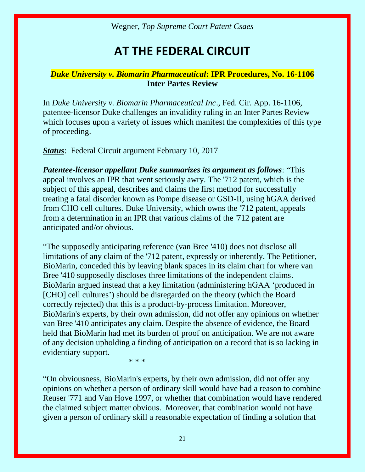# **AT THE FEDERAL CIRCUIT**

#### *Duke University v. Biomarin Pharmaceutical***: IPR Procedures, No. 16-1106 Inter Partes Review**

In *Duke University v. Biomarin Pharmaceutical Inc*., Fed. Cir. App. 16-1106, patentee-licensor Duke challenges an invalidity ruling in an Inter Partes Review which focuses upon a variety of issues which manifest the complexities of this type of proceeding.

*Status*: Federal Circuit argument February 10, 2017

*Patentee-licensor appellant Duke summarizes its argument as follows*: "This appeal involves an IPR that went seriously awry. The '712 patent, which is the subject of this appeal, describes and claims the first method for successfully treating a fatal disorder known as Pompe disease or GSD-II, using hGAA derived from CHO cell cultures. Duke University, which owns the '712 patent, appeals from a determination in an IPR that various claims of the '712 patent are anticipated and/or obvious.

"The supposedly anticipating reference (van Bree '410) does not disclose all limitations of any claim of the '712 patent, expressly or inherently. The Petitioner, BioMarin, conceded this by leaving blank spaces in its claim chart for where van Bree '410 supposedly discloses three limitations of the independent claims. BioMarin argued instead that a key limitation (administering hGAA 'produced in [CHO] cell cultures') should be disregarded on the theory (which the Board correctly rejected) that this is a product-by-process limitation. Moreover, BioMarin's experts, by their own admission, did not offer any opinions on whether van Bree '410 anticipates any claim. Despite the absence of evidence, the Board held that BioMarin had met its burden of proof on anticipation. We are not aware of any decision upholding a finding of anticipation on a record that is so lacking in evidentiary support.

\* \* \*

"On obviousness, BioMarin's experts, by their own admission, did not offer any opinions on whether a person of ordinary skill would have had a reason to combine Reuser '771 and Van Hove 1997, or whether that combination would have rendered the claimed subject matter obvious. Moreover, that combination would not have given a person of ordinary skill a reasonable expectation of finding a solution that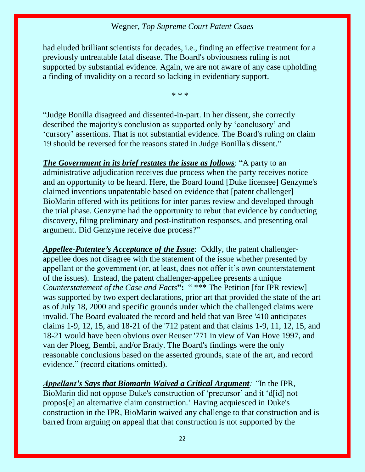had eluded brilliant scientists for decades, i.e., finding an effective treatment for a previously untreatable fatal disease. The Board's obviousness ruling is not supported by substantial evidence. Again, we are not aware of any case upholding a finding of invalidity on a record so lacking in evidentiary support.

\* \* \*

"Judge Bonilla disagreed and dissented-in-part. In her dissent, she correctly described the majority's conclusion as supported only by 'conclusory' and 'cursory' assertions. That is not substantial evidence. The Board's ruling on claim 19 should be reversed for the reasons stated in Judge Bonilla's dissent."

*The Government in its brief restates the issue as follows*: "A party to an administrative adjudication receives due process when the party receives notice and an opportunity to be heard. Here, the Board found [Duke licensee] Genzyme's claimed inventions unpatentable based on evidence that [patent challenger] BioMarin offered with its petitions for inter partes review and developed through the trial phase. Genzyme had the opportunity to rebut that evidence by conducting discovery, filing preliminary and post-institution responses, and presenting oral argument. Did Genzyme receive due process?"

*Appellee-Patentee's Acceptance of the Issue*: Oddly, the patent challengerappellee does not disagree with the statement of the issue whether presented by appellant or the government (or, at least, does not offer it's own counterstatement of the issues). Instead, the patent challenger-appellee presents a unique *Counterstatement of the Case and Facts***":** " \*\*\* The Petition [for IPR review] was supported by two expert declarations, prior art that provided the state of the art as of July 18, 2000 and specific grounds under which the challenged claims were invalid. The Board evaluated the record and held that van Bree '410 anticipates claims 1-9, 12, 15, and 18-21 of the '712 patent and that claims 1-9, 11, 12, 15, and 18-21 would have been obvious over Reuser '771 in view of Van Hove 1997, and van der Ploeg, Bembi, and/or Brady. The Board's findings were the only reasonable conclusions based on the asserted grounds, state of the art, and record evidence." (record citations omitted).

*Appellant's Says that Biomarin Waived a Critical Argument: "*In the IPR, BioMarin did not oppose Duke's construction of 'precursor' and it 'd[id] not propos[e] an alternative claim construction.' Having acquiesced in Duke's construction in the IPR, BioMarin waived any challenge to that construction and is barred from arguing on appeal that that construction is not supported by the